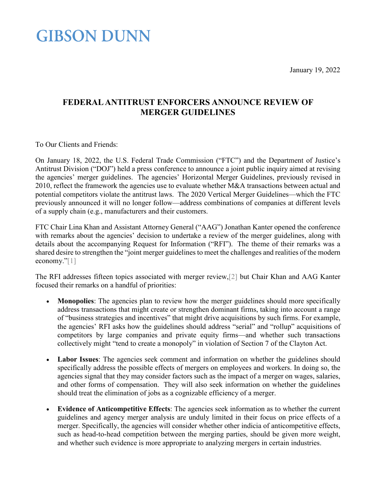January 19, 2022

### **GIBSON DUNN**

### **FEDERAL ANTITRUST ENFORCERS ANNOUNCE REVIEW OF MERGER GUIDELINES**

To Our Clients and Friends:

On January 18, 2022, the U.S. Federal Trade Commission ("FTC") and the Department of Justice's Antitrust Division ("DOJ") held a press conference to announce a joint public inquiry aimed at revising the agencies' merger guidelines. The agencies' Horizontal Merger Guidelines, previously revised in 2010, reflect the framework the agencies use to evaluate whether M&A transactions between actual and potential competitors violate the antitrust laws. The 2020 Vertical Merger Guidelines—which the FTC previously announced it will no longer follow—address combinations of companies at different levels of a supply chain (e.g., manufacturers and their customers.

FTC Chair Lina Khan and Assistant Attorney General ("AAG") Jonathan Kanter opened the conference with remarks about the agencies' decision to undertake a review of the merger guidelines, along with details about the accompanying Request for Information ("RFI"). The theme of their remarks was a shared desire to strengthen the "joint merger guidelines to meet the challenges and realities of the modern economy.["\[1\]](#page-2-0)

The RFI addresses fifteen topics associated with merger review[,\[2\]](#page-2-1) but Chair Khan and AAG Kanter focused their remarks on a handful of priorities:

- **Monopolies**: The agencies plan to review how the merger guidelines should more specifically address transactions that might create or strengthen dominant firms, taking into account a range of "business strategies and incentives" that might drive acquisitions by such firms. For example, the agencies' RFI asks how the guidelines should address "serial" and "rollup" acquisitions of competitors by large companies and private equity firms—and whether such transactions collectively might "tend to create a monopoly" in violation of Section 7 of the Clayton Act.
- **Labor Issues**: The agencies seek comment and information on whether the guidelines should specifically address the possible effects of mergers on employees and workers. In doing so, the agencies signal that they may consider factors such as the impact of a merger on wages, salaries, and other forms of compensation. They will also seek information on whether the guidelines should treat the elimination of jobs as a cognizable efficiency of a merger.
- **Evidence of Anticompetitive Effects**: The agencies seek information as to whether the current guidelines and agency merger analysis are unduly limited in their focus on price effects of a merger. Specifically, the agencies will consider whether other indicia of anticompetitive effects, such as head-to-head competition between the merging parties, should be given more weight, and whether such evidence is more appropriate to analyzing mergers in certain industries.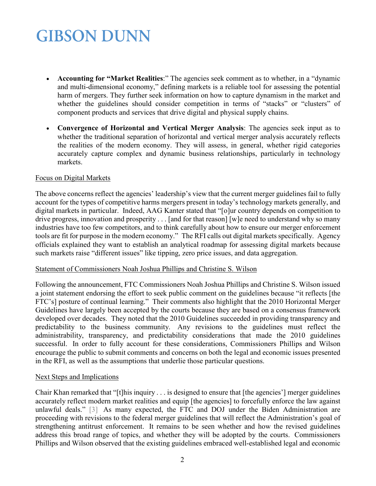# **GIBSON DUNN**

- **Accounting for "Market Realities**:" The agencies seek comment as to whether, in a "dynamic and multi-dimensional economy," defining markets is a reliable tool for assessing the potential harm of mergers. They further seek information on how to capture dynamism in the market and whether the guidelines should consider competition in terms of "stacks" or "clusters" of component products and services that drive digital and physical supply chains.
- **Convergence of Horizontal and Vertical Merger Analysis**: The agencies seek input as to whether the traditional separation of horizontal and vertical merger analysis accurately reflects the realities of the modern economy. They will assess, in general, whether rigid categories accurately capture complex and dynamic business relationships, particularly in technology markets.

#### Focus on Digital Markets

The above concerns reflect the agencies' leadership's view that the current merger guidelines fail to fully account for the types of competitive harms mergers present in today's technology markets generally, and digital markets in particular. Indeed, AAG Kanter stated that "[o]ur country depends on competition to drive progress, innovation and prosperity . . . [and for that reason] [w]e need to understand why so many industries have too few competitors, and to think carefully about how to ensure our merger enforcement tools are fit for purpose in the modern economy." The RFI calls out digital markets specifically. Agency officials explained they want to establish an analytical roadmap for assessing digital markets because such markets raise "different issues" like tipping, zero price issues, and data aggregation.

#### Statement of Commissioners Noah Joshua Phillips and Christine S. Wilson

Following the announcement, FTC Commissioners Noah Joshua Phillips and Christine S. Wilson issued a joint statement endorsing the effort to seek public comment on the guidelines because "it reflects [the FTC's] posture of continual learning." Their comments also highlight that the 2010 Horizontal Merger Guidelines have largely been accepted by the courts because they are based on a consensus framework developed over decades. They noted that the 2010 Guidelines succeeded in providing transparency and predictability to the business community. Any revisions to the guidelines must reflect the administrability, transparency, and predictability considerations that made the 2010 guidelines successful. In order to fully account for these considerations, Commissioners Phillips and Wilson encourage the public to submit comments and concerns on both the legal and economic issues presented in the RFI, as well as the assumptions that underlie those particular questions.

#### Next Steps and Implications

Chair Khan remarked that "[t]his inquiry . . . is designed to ensure that [the agencies'] merger guidelines accurately reflect modern market realities and equip [the agencies] to forcefully enforce the law against unlawful deals." [\[3\]](#page-2-2) As many expected, the FTC and DOJ under the Biden Administration are proceeding with revisions to the federal merger guidelines that will reflect the Administration's goal of strengthening antitrust enforcement. It remains to be seen whether and how the revised guidelines address this broad range of topics, and whether they will be adopted by the courts. Commissioners Phillips and Wilson observed that the existing guidelines embraced well-established legal and economic